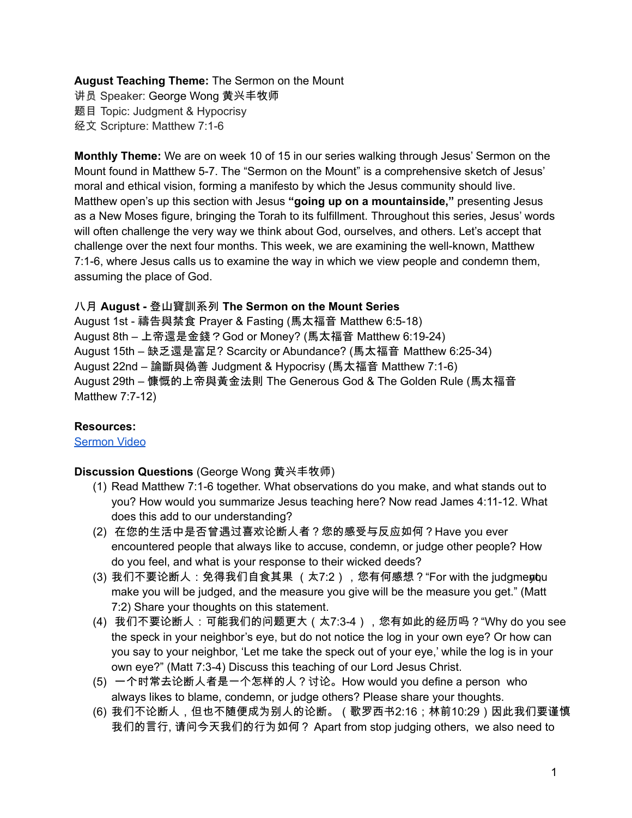# **August Teaching Theme:** The Sermon on the Mount

讲员 Speaker: George Wong 黄兴丰牧师 题目 Topic: Judgment & Hypocrisy 经文 Scripture: Matthew 7:1-6

**Monthly Theme:** We are on week 10 of 15 in our series walking through Jesus' Sermon on the Mount found in Matthew 5-7. The "Sermon on the Mount" is a comprehensive sketch of Jesus' moral and ethical vision, forming a manifesto by which the Jesus community should live. Matthew open's up this section with Jesus **"going up on a mountainside,"** presenting Jesus as a New Moses figure, bringing the Torah to its fulfillment. Throughout this series, Jesus' words will often challenge the very way we think about God, ourselves, and others. Let's accept that challenge over the next four months. This week, we are examining the well-known, Matthew 7:1-6, where Jesus calls us to examine the way in which we view people and condemn them, assuming the place of God.

## 八月 **August -** 登山寶訓系列 **The Sermon on the Mount Series**

August 1st - 禱告與禁食 Prayer & Fasting (馬太福音 Matthew 6:5-18) August 8th – 上帝還是金錢?God or Money? (馬太福音 Matthew 6:19-24) August 15th – 缺乏還是富足? Scarcity or Abundance? (馬太福音 Matthew 6:25-34) August 22nd – 論斷與偽善 Judgment & Hypocrisy (馬太福音 Matthew 7:1-6) August 29th – 慷慨的上帝與黃金法則 The Generous God & The Golden Rule (馬太福音 Matthew 7:7-12)

### **Resources:**

[Sermon](https://www.youtube.com/watch?v=REXo6D5fEH8) Video

### **Discussion Questions** (George Wong 黄兴丰牧师)

- (1) Read Matthew 7:1-6 together. What observations do you make, and what stands out to you? How would you summarize Jesus teaching here? Now read James 4:11-12. What does this add to our understanding?
- (2) 在您的生活中是否曾遇过喜欢论断人者?您的感受与反应如何?Have you ever encountered people that always like to accuse, condemn, or judge other people? How do you feel, and what is your response to their wicked deeds?
- (3) 我们不要论断人:免得我们自食其果 (太7:2),您有何感想?"For with the judgmentou make you will be judged, and the measure you give will be the measure you get." (Matt 7:2) Share your thoughts on this statement.
- (4) 我们不要论断人:可能我们的问题更大(太7:3-4),您有如此的经历吗?"Why do you see the speck in your neighbor's eye, but do not notice the log in your own eye? Or how can you say to your neighbor, 'Let me take the speck out of your eye,' while the log is in your own eye?" (Matt 7:3-4) Discuss this teaching of our Lord Jesus Christ.
- (5) 一个时常去论断人者是一个怎样的人?讨论。How would you define a person who always likes to blame, condemn, or judge others? Please share your thoughts.
- (6) 我们不论断人,但也不随便成为别人的论断。(歌罗西书2:16;林前10:29)因此我们要谨慎 我们的言行, 请问今天我们的行为如何? Apart from stop judging others, we also need to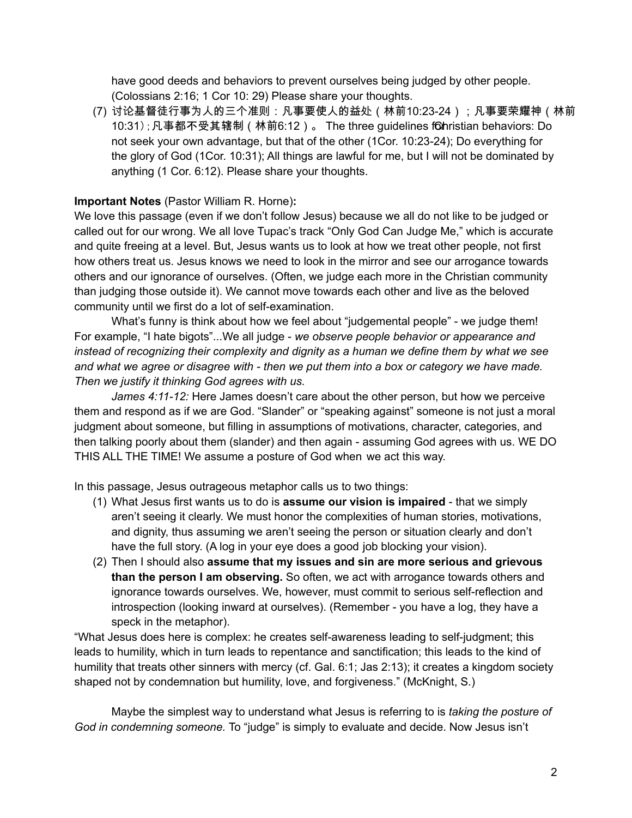have good deeds and behaviors to prevent ourselves being judged by other people. (Colossians 2:16; 1 Cor 10: 29) Please share your thoughts.

(7) 讨论基督徒行事为人的三个准则:凡事要使人的益处(林前10:23-24);凡事要荣耀神(林前 10:31);凡事都不受其辖制(林前6:12)。 The three guidelines f6hristian behaviors: Do not seek your own advantage, but that of the other (1Cor. 10:23-24); Do everything for the glory of God (1Cor. 10:31); All things are lawful for me, but I will not be dominated by anything (1 Cor. 6:12). Please share your thoughts.

# **Important Notes** (Pastor William R. Horne)**:**

We love this passage (even if we don't follow Jesus) because we all do not like to be judged or called out for our wrong. We all love Tupac's track "Only God Can Judge Me," which is accurate and quite freeing at a level. But, Jesus wants us to look at how we treat other people, not first how others treat us. Jesus knows we need to look in the mirror and see our arrogance towards others and our ignorance of ourselves. (Often, we judge each more in the Christian community than judging those outside it). We cannot move towards each other and live as the beloved community until we first do a lot of self-examination.

What's funny is think about how we feel about "judgemental people" - we judge them! For example, "I hate bigots"...We all judge - *we observe people behavior or appearance and instead of recognizing their complexity and dignity as a human we define them by what we see* and what we agree or disagree with - then we put them into a box or category we have made. *Then we justify it thinking God agrees with us.*

*James 4:11-12:* Here James doesn't care about the other person, but how we perceive them and respond as if we are God. "Slander" or "speaking against" someone is not just a moral judgment about someone, but filling in assumptions of motivations, character, categories, and then talking poorly about them (slander) and then again - assuming God agrees with us. WE DO THIS ALL THE TIME! We assume a posture of God when we act this way.

In this passage, Jesus outrageous metaphor calls us to two things:

- (1) What Jesus first wants us to do is **assume our vision is impaired** that we simply aren't seeing it clearly. We must honor the complexities of human stories, motivations, and dignity, thus assuming we aren't seeing the person or situation clearly and don't have the full story. (A log in your eye does a good job blocking your vision).
- (2) Then I should also **assume that my issues and sin are more serious and grievous than the person I am observing.** So often, we act with arrogance towards others and ignorance towards ourselves. We, however, must commit to serious self-reflection and introspection (looking inward at ourselves). (Remember - you have a log, they have a speck in the metaphor).

"What Jesus does here is complex: he creates self-awareness leading to self-judgment; this leads to humility, which in turn leads to repentance and sanctification; this leads to the kind of humility that treats other sinners with mercy (cf. Gal. 6:1; Jas 2:13); it creates a kingdom society shaped not by condemnation but humility, love, and forgiveness." (McKnight, S.)

Maybe the simplest way to understand what Jesus is referring to is *taking the posture of God in condemning someone.* To "judge" is simply to evaluate and decide. Now Jesus isn't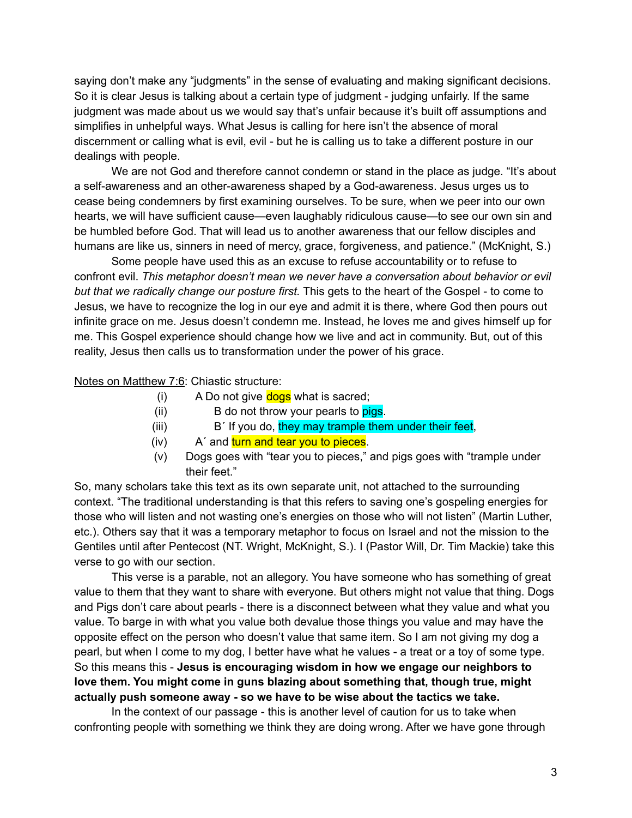saying don't make any "judgments" in the sense of evaluating and making significant decisions. So it is clear Jesus is talking about a certain type of judgment - judging unfairly. If the same judgment was made about us we would say that's unfair because it's built off assumptions and simplifies in unhelpful ways. What Jesus is calling for here isn't the absence of moral discernment or calling what is evil, evil - but he is calling us to take a different posture in our dealings with people.

We are not God and therefore cannot condemn or stand in the place as judge. "It's about a self-awareness and an other-awareness shaped by a God-awareness. Jesus urges us to cease being condemners by first examining ourselves. To be sure, when we peer into our own hearts, we will have sufficient cause—even laughably ridiculous cause—to see our own sin and be humbled before God. That will lead us to another awareness that our fellow disciples and humans are like us, sinners in need of mercy, grace, forgiveness, and patience." (McKnight, S.)

Some people have used this as an excuse to refuse accountability or to refuse to confront evil. *This metaphor doesn't mean we never have a conversation about behavior or evil but that we radically change our posture first.* This gets to the heart of the Gospel - to come to Jesus, we have to recognize the log in our eye and admit it is there, where God then pours out infinite grace on me. Jesus doesn't condemn me. Instead, he loves me and gives himself up for me. This Gospel experience should change how we live and act in community. But, out of this reality, Jesus then calls us to transformation under the power of his grace.

# Notes on Matthew 7:6: Chiastic structure:

- (i) A Do not give  $\frac{d \text{og}}{d \text{og}}$  what is sacred;
- (ii)  $\qquad \qquad \text{B}$  do not throw your pearls to **pigs**.
- $(iii)$  B<sup> $\prime$ </sup> If you do, they may trample them under their feet,
- (iv) A' and turn and tear you to pieces.
- (v) Dogs goes with "tear you to pieces," and pigs goes with "trample under their feet."

So, many scholars take this text as its own separate unit, not attached to the surrounding context. "The traditional understanding is that this refers to saving one's gospeling energies for those who will listen and not wasting one's energies on those who will not listen" (Martin Luther, etc.). Others say that it was a temporary metaphor to focus on Israel and not the mission to the Gentiles until after Pentecost (NT. Wright, McKnight, S.). I (Pastor Will, Dr. Tim Mackie) take this verse to go with our section.

This verse is a parable, not an allegory. You have someone who has something of great value to them that they want to share with everyone. But others might not value that thing. Dogs and Pigs don't care about pearls - there is a disconnect between what they value and what you value. To barge in with what you value both devalue those things you value and may have the opposite effect on the person who doesn't value that same item. So I am not giving my dog a pearl, but when I come to my dog, I better have what he values - a treat or a toy of some type. So this means this - **Jesus is encouraging wisdom in how we engage our neighbors to love them. You might come in guns blazing about something that, though true, might actually push someone away - so we have to be wise about the tactics we take.**

In the context of our passage - this is another level of caution for us to take when confronting people with something we think they are doing wrong. After we have gone through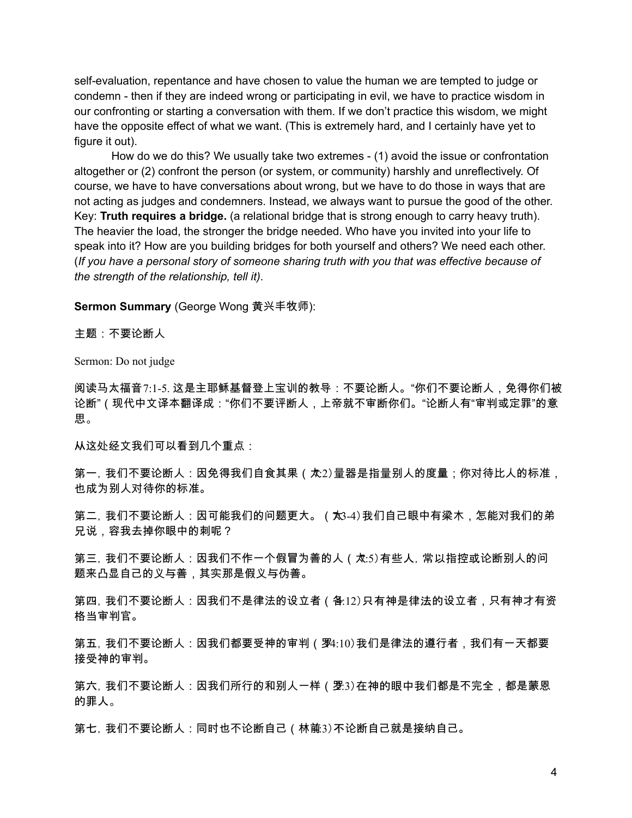self-evaluation, repentance and have chosen to value the human we are tempted to judge or condemn - then if they are indeed wrong or participating in evil, we have to practice wisdom in our confronting or starting a conversation with them. If we don't practice this wisdom, we might have the opposite effect of what we want. (This is extremely hard, and I certainly have yet to figure it out).

How do we do this? We usually take two extremes - (1) avoid the issue or confrontation altogether or (2) confront the person (or system, or community) harshly and unreflectively. Of course, we have to have conversations about wrong, but we have to do those in ways that are not acting as judges and condemners. Instead, we always want to pursue the good of the other. Key: **Truth requires a bridge.** (a relational bridge that is strong enough to carry heavy truth). The heavier the load, the stronger the bridge needed. Who have you invited into your life to speak into it? How are you building bridges for both yourself and others? We need each other. (*If you have a personal story of someone sharing truth with you that was effective because of the strength of the relationship, tell it)*.

#### **Sermon Summary** (George Wong 黄兴丰牧师):

主题:不要论断人

Sermon: Do not judge

阅读马太福音7:1-5. 这是主耶稣基督登上宝训的教导:不要论断人。"你们不要论断人,免得你们被 论断"(现代中文译本翻译成:"你们不要评断人,上帝就不审断你们。"论断人有"审判或定罪"的意 思。

从这处经文我们可以看到几个重点:

第一, 我们不要论断人:因免得我们自食其果(太2)量器是指量别人的度量;你对待比人的标准, 也成为别人对待你的标准。

第二, 我们不要论断人:因可能我们的问题更大。(大3-4) 我们自己眼中有梁木,怎能对我们的弟 兄说,容我去掉你眼中的刺呢?

第三, 我们不要论断人:因我们不作一个假冒为善的人(太:5)有些人, 常以指控或论断别人的问 题来凸显自己的义与善,其实那是假义与伪善。

第四, 我们不要论断人:因我们不是律法的设立者(各:12)只有神是律法的设立者,只有神才有资 格当审判官。

第五, 我们不要论断人:因我们都要受神的审判(罗4:10) 我们是律法的遵行者,我们有一天都要 接受神的审判。

第六, 我们不要论断人:因我们所行的和别人一样(罗:3)在神的眼中我们都是不完全,都是蒙恩 的罪人。

第七, 我们不要论断人:同时也不论断自己(林前3) 不论断自己就是接纳自己。